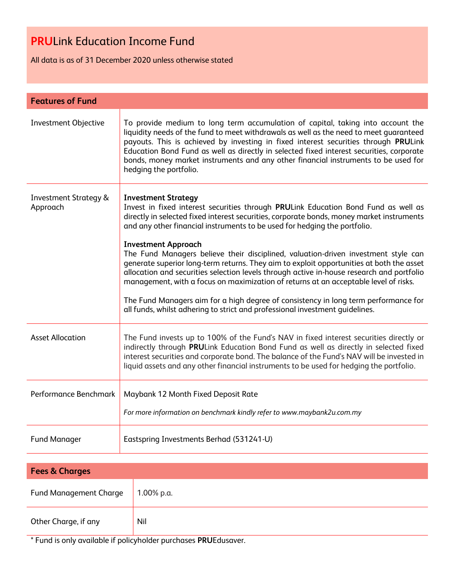# **PRU**Link Education Income Fund

All data is as of 31 December 2020 unless otherwise stated

| <b>Features of Fund</b>                      |                                                                                                                                                                                                                                                                                                                                                                                                                                                                                                                                                                                                                                                                                                                                                                                                                                                                        |  |
|----------------------------------------------|------------------------------------------------------------------------------------------------------------------------------------------------------------------------------------------------------------------------------------------------------------------------------------------------------------------------------------------------------------------------------------------------------------------------------------------------------------------------------------------------------------------------------------------------------------------------------------------------------------------------------------------------------------------------------------------------------------------------------------------------------------------------------------------------------------------------------------------------------------------------|--|
| <b>Investment Objective</b>                  | To provide medium to long term accumulation of capital, taking into account the<br>liquidity needs of the fund to meet withdrawals as well as the need to meet guaranteed<br>payouts. This is achieved by investing in fixed interest securities through PRULink<br>Education Bond Fund as well as directly in selected fixed interest securities, corporate<br>bonds, money market instruments and any other financial instruments to be used for<br>hedging the portfolio.                                                                                                                                                                                                                                                                                                                                                                                           |  |
| <b>Investment Strategy &amp;</b><br>Approach | <b>Investment Strategy</b><br>Invest in fixed interest securities through PRULink Education Bond Fund as well as<br>directly in selected fixed interest securities, corporate bonds, money market instruments<br>and any other financial instruments to be used for hedging the portfolio.<br><b>Investment Approach</b><br>The Fund Managers believe their disciplined, valuation-driven investment style can<br>generate superior long-term returns. They aim to exploit opportunities at both the asset<br>allocation and securities selection levels through active in-house research and portfolio<br>management, with a focus on maximization of returns at an acceptable level of risks.<br>The Fund Managers aim for a high degree of consistency in long term performance for<br>all funds, whilst adhering to strict and professional investment quidelines. |  |
| <b>Asset Allocation</b>                      | The Fund invests up to 100% of the Fund's NAV in fixed interest securities directly or<br>indirectly through PRULink Education Bond Fund as well as directly in selected fixed<br>interest securities and corporate bond. The balance of the Fund's NAV will be invested in<br>liquid assets and any other financial instruments to be used for hedging the portfolio.                                                                                                                                                                                                                                                                                                                                                                                                                                                                                                 |  |
| Performance Benchmark                        | Maybank 12 Month Fixed Deposit Rate<br>For more information on benchmark kindly refer to www.maybank2u.com.my                                                                                                                                                                                                                                                                                                                                                                                                                                                                                                                                                                                                                                                                                                                                                          |  |
| <b>Fund Manager</b>                          | Eastspring Investments Berhad (531241-U)                                                                                                                                                                                                                                                                                                                                                                                                                                                                                                                                                                                                                                                                                                                                                                                                                               |  |

| <b>Fees &amp; Charges</b>     |            |  |
|-------------------------------|------------|--|
| <b>Fund Management Charge</b> | 1.00% p.a. |  |
| Other Charge, if any          | Nil        |  |

\* Fund is only available if policyholder purchases **PRU**Edusaver.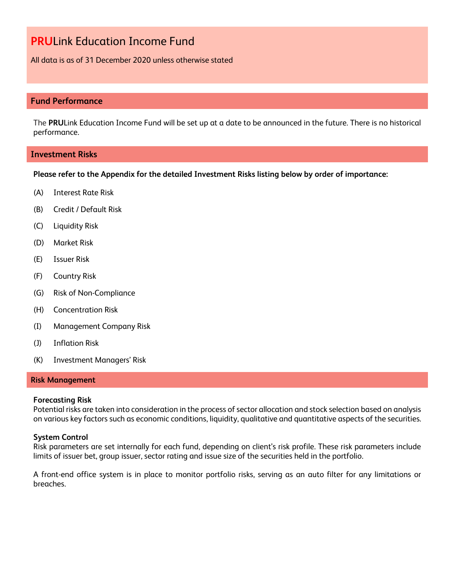### **PRU**Link Education Income Fund

All data is as of 31 December 2020 unless otherwise stated

### **Fund Performance**

The **PRU**Link Education Income Fund will be set up at a date to be announced in the future. There is no historical performance.

#### **Investment Risks**

**Please refer to the Appendix for the detailed Investment Risks listing below by order of importance:**

- (A) Interest Rate Risk
- (B) Credit / Default Risk
- (C) Liquidity Risk
- (D) Market Risk
- (E) Issuer Risk
- (F) Country Risk
- (G) Risk of Non-Compliance
- (H) Concentration Risk
- (I) Management Company Risk
- (J) Inflation Risk
- (K) Investment Managers' Risk

#### **Risk Management**

#### **Forecasting Risk**

Potential risks are taken into consideration in the process of sector allocation and stock selection based on analysis on various key factors such as economic conditions, liquidity, qualitative and quantitative aspects of the securities.

#### **System Control**

Risk parameters are set internally for each fund, depending on client's risk profile. These risk parameters include limits of issuer bet, group issuer, sector rating and issue size of the securities held in the portfolio.

A front-end office system is in place to monitor portfolio risks, serving as an auto filter for any limitations or breaches.